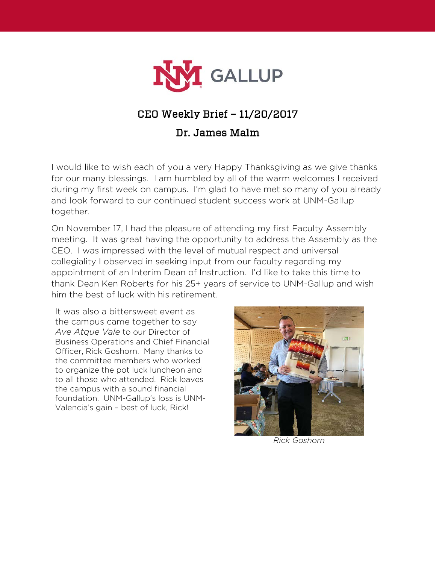

## CEO Weekly Brief – 11/20/2017

## Dr. James Malm

I would like to wish each of you a very Happy Thanksgiving as we give thanks for our many blessings. I am humbled by all of the warm welcomes I received during my first week on campus. I'm glad to have met so many of you already and look forward to our continued student success work at UNM-Gallup together.

On November 17, I had the pleasure of attending my first Faculty Assembly meeting. It was great having the opportunity to address the Assembly as the CEO. I was impressed with the level of mutual respect and universal collegiality I observed in seeking input from our faculty regarding my appointment of an Interim Dean of Instruction. I'd like to take this time to thank Dean Ken Roberts for his 25+ years of service to UNM-Gallup and wish him the best of luck with his retirement.

It was also a bittersweet event as the campus came together to say *Ave Atque Vale* to our Director of Business Operations and Chief Financial Officer, Rick Goshorn. Many thanks to the committee members who worked to organize the pot luck luncheon and to all those who attended. Rick leaves the campus with a sound financial foundation. UNM-Gallup's loss is UNM-Valencia's gain – best of luck, Rick!



*Rick Goshorn*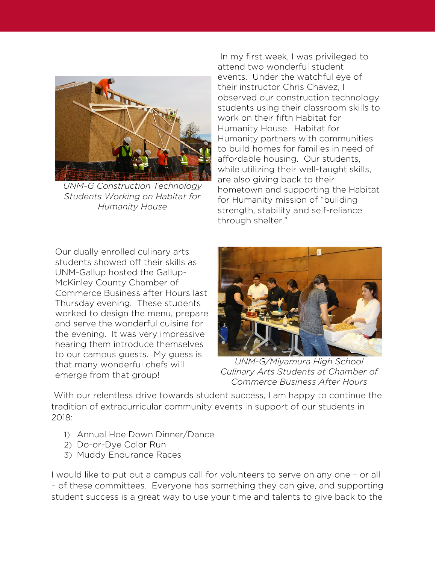

*UNM-G Construction Technology Students Working on Habitat for Humanity House*

In my first week, I was privileged to attend two wonderful student events. Under the watchful eye of their instructor Chris Chavez, I observed our construction technology students using their classroom skills to work on their fifth Habitat for Humanity House. Habitat for Humanity partners with communities to build homes for families in need of affordable housing. Our students, while utilizing their well-taught skills, are also giving back to their hometown and supporting the Habitat for Humanity mission of "building strength, stability and self-reliance through shelter."

Our dually enrolled culinary arts students showed off their skills as UNM-Gallup hosted the Gallup-McKinley County Chamber of Commerce Business after Hours last Thursday evening. These students worked to design the menu, prepare and serve the wonderful cuisine for the evening. It was very impressive hearing them introduce themselves to our campus guests. My guess is that many wonderful chefs will emerge from that group!



*UNM-G/Miyamura High School Culinary Arts Students at Chamber of Commerce Business After Hours*

With our relentless drive towards student success, I am happy to continue the tradition of extracurricular community events in support of our students in 2018:

- 1) Annual Hoe Down Dinner/Dance
- 2) Do-or-Dye Color Run
- 3) Muddy Endurance Races

I would like to put out a campus call for volunteers to serve on any one – or all – of these committees. Everyone has something they can give, and supporting student success is a great way to use your time and talents to give back to the